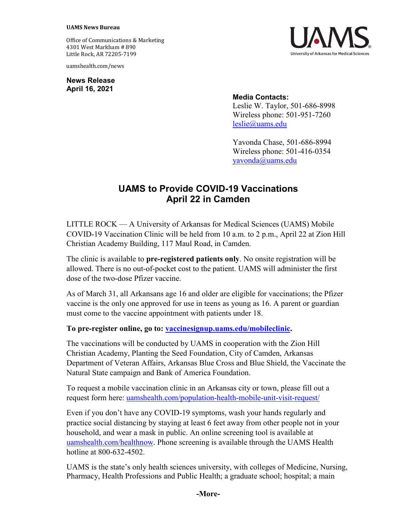#### **UAMS News Bureau**

Office of Communications & Marketing 4301 West Markham # 890 Little Rock, AR 72205-7199

uamshealth.com/news

**News Release April 16, 2021**



### **Media Contacts:**

Leslie W. Taylor, 501-686-8998 Wireless phone: 501-951-7260 [leslie@uams.edu](mailto:leslie@uams.edu)

Yavonda Chase, 501-686-8994 Wireless phone: 501-416-0354 [yavonda@uams.edu](mailto:yavonda@uams.edu)

# **UAMS to Provide COVID-19 Vaccinations April 22 in Camden**

LITTLE ROCK — A University of Arkansas for Medical Sciences (UAMS) Mobile COVID-19 Vaccination Clinic will be held from 10 a.m. to 2 p.m., April 22 at Zion Hill Christian Academy Building, 117 Maul Road, in Camden.

The clinic is available to **pre-registered patients only**. No onsite registration will be allowed. There is no out-of-pocket cost to the patient. UAMS will administer the first dose of the two-dose Pfizer vaccine.

As of March 31, all Arkansans age 16 and older are eligible for vaccinations; the Pfizer vaccine is the only one approved for use in teens as young as 16. A parent or guardian must come to the vaccine appointment with patients under 18.

### **To pre-register online, go to: [vaccinesignup.uams.edu/mobileclinic.](https://vaccinesignup.uams.edu/mobileclinic)**

The vaccinations will be conducted by UAMS in cooperation with the Zion Hill Christian Academy, Planting the Seed Foundation, City of Camden, Arkansas Department of Veteran Affairs, Arkansas Blue Cross and Blue Shield, the Vaccinate the Natural State campaign and Bank of America Foundation.

To request a mobile vaccination clinic in an Arkansas city or town, please fill out a request form here: [uamshealth.com/population-health-mobile-unit-visit-request/](https://uamshealth.com/population-health-mobile-unit-visit-request/)

Even if you don't have any COVID-19 symptoms, wash your hands regularly and practice social distancing by staying at least 6 feet away from other people not in your household, and wear a mask in public. An online screening tool is available at [uamshealth.com/healthnow.](https://uamshealth.com/healthnow/) Phone screening is available through the UAMS Health hotline at 800-632-4502.

UAMS is the state's only health sciences university, with colleges of Medicine, Nursing, Pharmacy, Health Professions and Public Health; a graduate school; hospital; a main